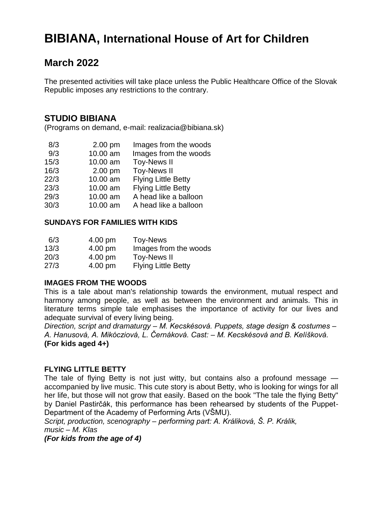# **BIBIANA, International House of Art for Children**

## **March 2022**

The presented activities will take place unless the Public Healthcare Office of the Slovak Republic imposes any restrictions to the contrary.

### **STUDIO BIBIANA**

(Programs on demand, e-mail: realizacia@bibiana.sk)

| 8/3  | $2.00$ pm | Images from the woods      |
|------|-----------|----------------------------|
| 9/3  | 10.00 am  | Images from the woods      |
| 15/3 | 10.00 am  | <b>Toy-News II</b>         |
| 16/3 | $2.00$ pm | <b>Toy-News II</b>         |
| 22/3 | 10.00 am  | <b>Flying Little Betty</b> |
| 23/3 | 10.00 am  | <b>Flying Little Betty</b> |
| 29/3 | 10.00 am  | A head like a balloon      |
| 30/3 | 10.00 am  | A head like a balloon      |

#### **SUNDAYS FOR FAMILIES WITH KIDS**

| 6/3  | 4.00 pm | Toy-News                   |
|------|---------|----------------------------|
| 13/3 | 4.00 pm | Images from the woods      |
| 20/3 | 4.00 pm | <b>Toy-News II</b>         |
| 27/3 | 4.00 pm | <b>Flying Little Betty</b> |

#### **IMAGES FROM THE WOODS**

This is a tale about man's relationship towards the environment, mutual respect and harmony among people, as well as between the environment and animals. This in literature terms simple tale emphasises the importance of activity for our lives and adequate survival of every living being.

*Direction, script and dramaturgy – M. Kecskésová. Puppets, stage design & costumes – A. Hanusová, A. Mikócziová, L. Černáková. Cast: – M. Kecskésová and B. Kelíšková.* **(For kids aged 4+)**

#### **FLYING LITTLE BETTY**

The tale of flying Betty is not just witty, but contains also a profound message accompanied by live music. This cute story is about Betty, who is looking for wings for all her life, but those will not grow that easily. Based on the book "The tale the flying Betty" by Daniel Pastirčák, this performance has been rehearsed by students of the Puppet-Department of the Academy of Performing Arts (VŠMU).

*Script, production, scenography* – *performing part: A. Králiková, Š. P. Králik, music* – *M. Klas* 

*(For kids from the age of 4)*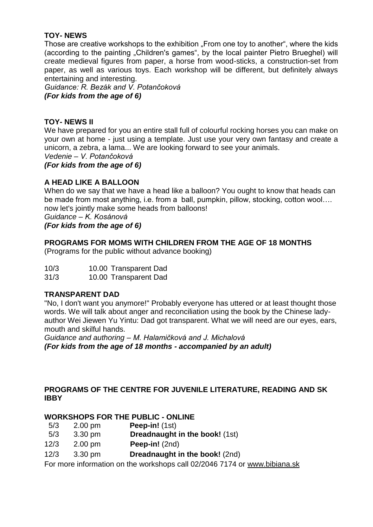#### **TOY- NEWS**

Those are creative workshops to the exhibition "From one toy to another", where the kids (according to the painting "Children's games", by the local painter Pietro Brueghel) will create medieval figures from paper, a horse from wood-sticks, a construction-set from paper, as well as various toys. Each workshop will be different, but definitely always entertaining and interesting.

*Guidance: R. Bezák and V. Potančoková (For kids from the age of 6)*

#### **TOY- NEWS II**

We have prepared for you an entire stall full of colourful rocking horses you can make on your own at home - just using a template. Just use your very own fantasy and create a unicorn, a zebra, a lama... We are looking forward to see your animals.

*Vedenie – V. Potančoková*

*(For kids from the age of 6)* 

#### **A HEAD LIKE A BALLOON**

When do we say that we have a head like a balloon? You ought to know that heads can be made from most anything, i.e. from a ball, pumpkin, pillow, stocking, cotton wool…. now let's jointly make some heads from balloons!

*Guidance – K. Kosánová*

#### *(For kids from the age of 6)*

#### **PROGRAMS FOR MOMS WITH CHILDREN FROM THE AGE OF 18 MONTHS**

(Programs for the public without advance booking)

| 10/3 | 10.00 Transparent Dad |
|------|-----------------------|
|------|-----------------------|

31/3 10.00 Transparent Dad

#### **TRANSPARENT DAD**

"No, I don't want you anymore!" Probably everyone has uttered or at least thought those words. We will talk about anger and reconciliation using the book by the Chinese ladyauthor Wei Jiewen Yu Yintu: Dad got transparent. What we will need are our eyes, ears, mouth and skilful hands.

*Guidance and authoring – M. Halamičková and J. Michalová (For kids from the age of 18 months - accompanied by an adult)*

#### **PROGRAMS OF THE CENTRE FOR JUVENILE LITERATURE, READING AND SK IBBY**

#### **WORKSHOPS FOR THE PUBLIC - ONLINE**

- 5/3 2.00 pm **Peep-in!** (1st)
- 5/3 3.30 pm **Dreadnaught in the book!** (1st)
- 12/3 2.00 pm **Peep-in!** (2nd)
- 12/3 3.30 pm **Dreadnaught in the book!** (2nd)

For more information on the workshops call 02/2046 7174 or [www.bibiana.sk](http://www.bibiana.sk/)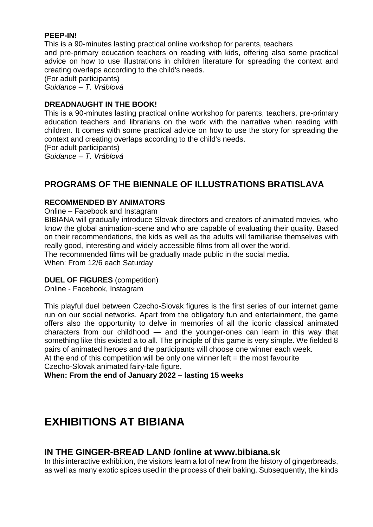#### **PEEP-IN!**

This is a 90-minutes lasting practical online workshop for parents, teachers and pre-primary education teachers on reading with kids, offering also some practical advice on how to use illustrations in children literature for spreading the context and creating overlaps according to the child's needs.

(For adult participants)

*Guidance – T. Vráblová* 

#### **DREADNAUGHT IN THE BOOK!**

This is a 90-minutes lasting practical online workshop for parents, teachers, pre-primary education teachers and librarians on the work with the narrative when reading with children. It comes with some practical advice on how to use the story for spreading the context and creating overlaps according to the child's needs.

(For adult participants)

*Guidance – T. Vráblová* 

## **PROGRAMS OF THE BIENNALE OF ILLUSTRATIONS BRATISLAVA**

#### **RECOMMENDED BY ANIMATORS**

Online – Facebook and Instagram

BIBIANA will gradually introduce Slovak directors and creators of animated movies, who know the global animation-scene and who are capable of evaluating their quality. Based on their recommendations, the kids as well as the adults will familiarise themselves with really good, interesting and widely accessible films from all over the world. The recommended films will be gradually made public in the social media.

When: From 12/6 each Saturday

#### **DUEL OF FIGURES** (competition)

Online - Facebook, Instagram

This playful duel between Czecho-Slovak figures is the first series of our internet game run on our social networks. Apart from the obligatory fun and entertainment, the game offers also the opportunity to delve in memories of all the iconic classical animated characters from our childhood — and the younger-ones can learn in this way that something like this existed a to all. The principle of this game is very simple. We fielded 8 pairs of animated heroes and the participants will choose one winner each week. At the end of this competition will be only one winner left  $=$  the most favourite Czecho-Slovak animated fairy-tale figure.

**When: From the end of January 2022 – lasting 15 weeks** 

# **EXHIBITIONS AT BIBIANA**

#### **IN THE GINGER-BREAD LAND /online at www.bibiana.sk**

In this interactive exhibition, the visitors learn a lot of new from the history of gingerbreads, as well as many exotic spices used in the process of their baking. Subsequently, the kinds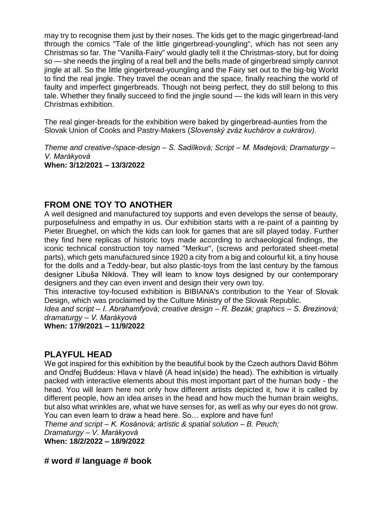may try to recognise them just by their noses. The kids get to the magic gingerbread-land through the comics "Tale of the little gingerbread-youngling", which has not seen any Christmas so far. The "Vanilla-Fairy" would gladly tell it the Christmas-story, but for doing so — she needs the jingling of a real bell and the bells made of gingerbread simply cannot jingle at all. So the little gingerbread-youngling and the Fairy set out to the big-big World to find the real jingle. They travel the ocean and the space, finally reaching the world of faulty and imperfect gingerbreads. Though not being perfect, they do still belong to this tale. Whether they finally succeed to find the jingle sound — the kids will learn in this very Christmas exhibition.

The real ginger-breads for the exhibition were baked by gingerbread-aunties from the Slovak Union of Cooks and Pastry-Makers (*Slovenský zväz kuchárov a cukrárov).*

*Theme and creative-/space-design – S. Sadílková; Script – M. Madejová; Dramaturgy – V. Marákyová*  **When: 3/12/2021 – 13/3/2022**

## **FROM ONE TOY TO ANOTHER**

A well designed and manufactured toy supports and even develops the sense of beauty, purposefulness and empathy in us. Our exhibition starts with a re-paint of a painting by Pieter Brueghel, on which the kids can look for games that are sill played today. Further they find here replicas of historic toys made according to archaeological findings, the iconic technical construction toy named "Merkur", (screws and perforated sheet-metal parts), which gets manufactured since 1920 a city from a big and colourful kit, a tiny house for the dolls and a Teddy-bear, but also plastic-toys from the last century by the famous designer Libuša Niklová. They will learn to know toys designed by our contemporary designers and they can even invent and design their very own toy.

This interactive toy-focused exhibition is BIBIANA's contribution to the Year of Slovak Design, which was proclaimed by the Culture Ministry of the Slovak Republic.

*Idea and script – I. Abrahamfyová; creative design – R. Bezák; graphics – S. Brezinová; dramaturgy – V. Marákyová* 

**When: 17/9/2021 – 11/9/2022**

### **PLAYFUL HEAD**

We got inspired for this exhibition by the beautiful book by the Czech authors David Böhm and Ondřej Buddeus: Hlava v hlavě (A head in(side) the head). The exhibition is virtually packed with interactive elements about this most important part of the human body - the head. You will learn here not only how different artists depicted it, how it is called by different people, how an idea arises in the head and how much the human brain weighs, but also what wrinkles are, what we have senses for, as well as why our eyes do not grow. You can even learn to draw a head here. So… explore and have fun!

*Theme and script – K. Kosánová; artistic & spatial solution – B. Peuch;*

*Dramaturgy – V. Marákyová*

**When: 18/2/2022 – 18/9/2022**

**# word # language # book**